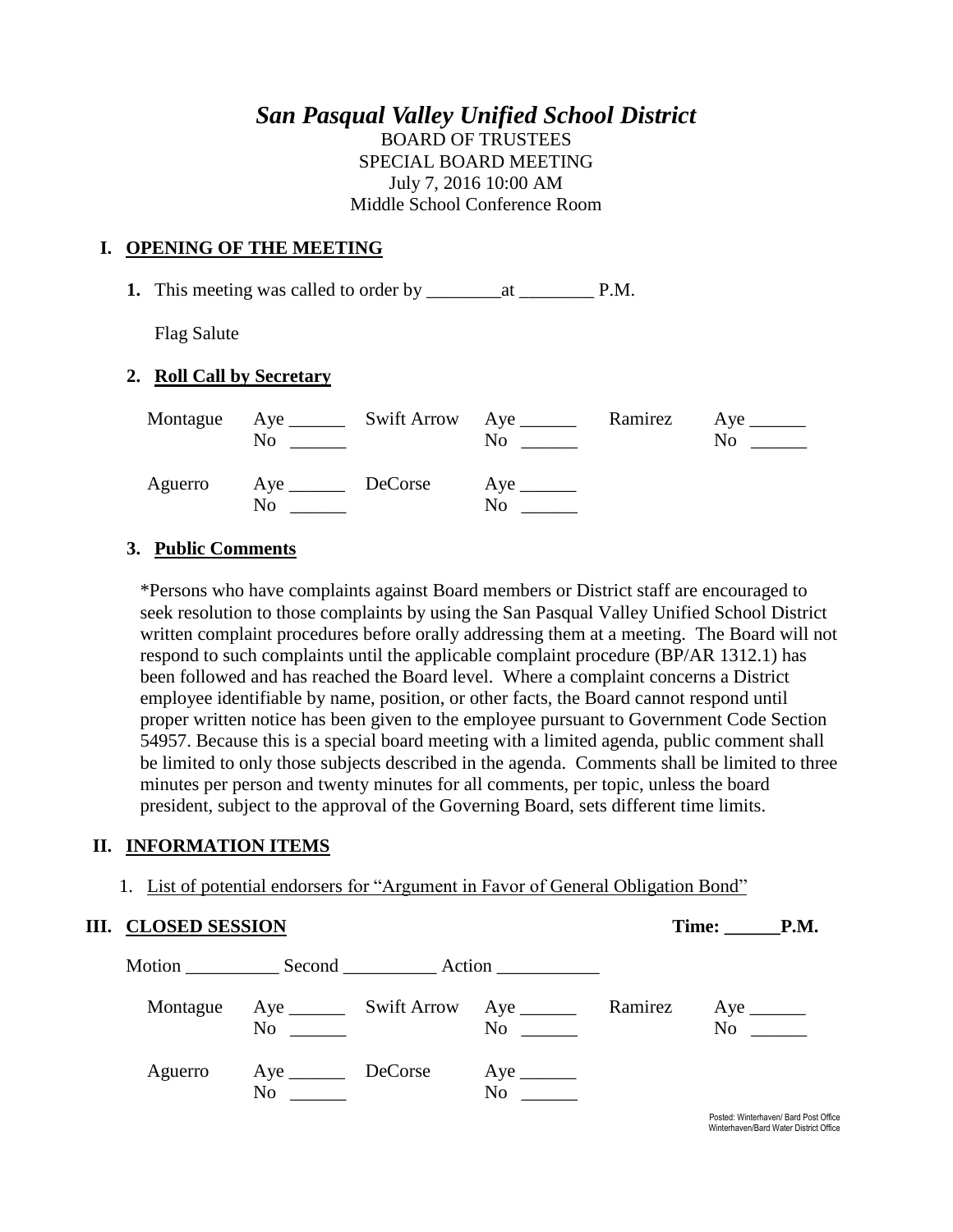# *San Pasqual Valley Unified School District*

BOARD OF TRUSTEES SPECIAL BOARD MEETING July 7, 2016 10:00 AM Middle School Conference Room

#### **I. OPENING OF THE MEETING**

**1.** This meeting was called to order by \_\_\_\_\_\_\_\_at \_\_\_\_\_\_\_\_ P.M.

Flag Salute

#### **2. Roll Call by Secretary**

|         | No                | Montague Aye _______ Swift Arrow Aye ______ | N <sub>0</sub>                  | Ramirez | $Aye$ <sub>______</sub><br>No |
|---------|-------------------|---------------------------------------------|---------------------------------|---------|-------------------------------|
| Aguerro | Aye DeCorse<br>No |                                             | $Aye$ <sub>_______</sub><br>No. |         |                               |

#### **3. Public Comments**

\*Persons who have complaints against Board members or District staff are encouraged to seek resolution to those complaints by using the San Pasqual Valley Unified School District written complaint procedures before orally addressing them at a meeting. The Board will not respond to such complaints until the applicable complaint procedure (BP/AR 1312.1) has been followed and has reached the Board level. Where a complaint concerns a District employee identifiable by name, position, or other facts, the Board cannot respond until proper written notice has been given to the employee pursuant to Government Code Section 54957. Because this is a special board meeting with a limited agenda, public comment shall be limited to only those subjects described in the agenda. Comments shall be limited to three minutes per person and twenty minutes for all comments, per topic, unless the board president, subject to the approval of the Governing Board, sets different time limits.

#### **II. INFORMATION ITEMS**

1. List of potential endorsers for "Argument in Favor of General Obligation Bond"

| <b>III. CLOSED SESSION</b> |                                    |  |                                                         |  | Time: P.M.                                  |
|----------------------------|------------------------------------|--|---------------------------------------------------------|--|---------------------------------------------|
|                            |                                    |  | Motion Second Action                                    |  |                                             |
| Montague                   | $\rm No$                           |  | Aye __________ Swift Arrow Aye __________ Ramirez<br>No |  | $Aye$ <sub>________</sub><br>N <sub>o</sub> |
| Aguerro                    | Aye __________ DeCorse<br>$\rm No$ |  | $Aye$ <sub>_______</sub><br>No                          |  |                                             |
|                            |                                    |  |                                                         |  | Posted: Winterhaven/ Bard Post              |

sted: Winterhaven/ Bard Post Office Winterhaven/Bard Water District Office